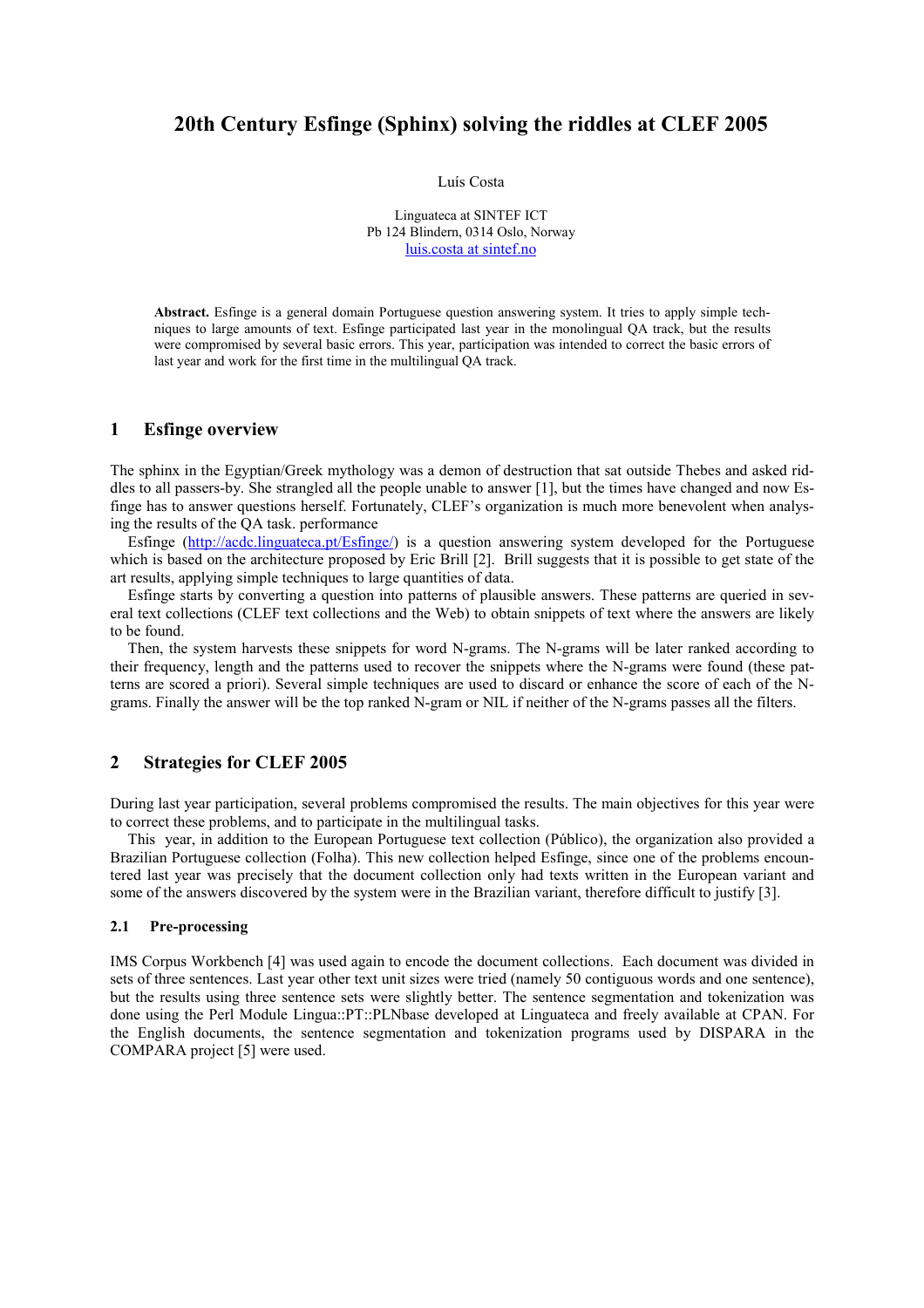# 20th Century Esfinge (Sphinx) solving the riddles at CLEF 2005

Luís Costa

Linguateca at SINTEF ICT Pb 124 Blindern, 0314 Oslo, Norway luis.costa at sintef.no

Abstract. Esfinge is a general domain Portuguese question answering system. It tries to apply simple techniques to large amounts of text. Esfinge participated last year in the monolingual QA track, but the results were compromised by several basic errors. This year, participation was intended to correct the basic errors of last year and work for the first time in the multilingual QA track.

### 1 Esfinge overview

The sphinx in the Egyptian/Greek mythology was a demon of destruction that sat outside Thebes and asked riddles to all passers-by. She strangled all the people unable to answer [1], but the times have changed and now Esfinge has to answer questions herself. Fortunately, CLEF's organization is much more benevolent when analysing the results of the QA task. performance

Esfinge (http://acdc.linguateca.pt/Esfinge/) is a question answering system developed for the Portuguese which is based on the architecture proposed by Eric Brill [2]. Brill suggests that it is possible to get state of the art results, applying simple techniques to large quantities of data.

Esfinge starts by converting a question into patterns of plausible answers. These patterns are queried in several text collections (CLEF text collections and the Web) to obtain snippets of text where the answers are likely to be found.

Then, the system harvests these snippets for word N-grams. The N-grams will be later ranked according to their frequency, length and the patterns used to recover the snippets where the N-grams were found (these patterns are scored a priori). Several simple techniques are used to discard or enhance the score of each of the Ngrams. Finally the answer will be the top ranked N-gram or NIL if neither of the N-grams passes all the filters.

# 2 Strategies for CLEF 2005

During last year participation, several problems compromised the results. The main objectives for this year were to correct these problems, and to participate in the multilingual tasks.

This year, in addition to the European Portuguese text collection (Público), the organization also provided a Brazilian Portuguese collection (Folha). This new collection helped Esfinge, since one of the problems encountered last year was precisely that the document collection only had texts written in the European variant and some of the answers discovered by the system were in the Brazilian variant, therefore difficult to justify [3].

### 2.1 Pre-processing

IMS Corpus Workbench [4] was used again to encode the document collections. Each document was divided in sets of three sentences. Last year other text unit sizes were tried (namely 50 contiguous words and one sentence), but the results using three sentence sets were slightly better. The sentence segmentation and tokenization was done using the Perl Module Lingua::PT::PLNbase developed at Linguateca and freely available at CPAN. For the English documents, the sentence segmentation and tokenization programs used by DISPARA in the COMPARA project [5] were used.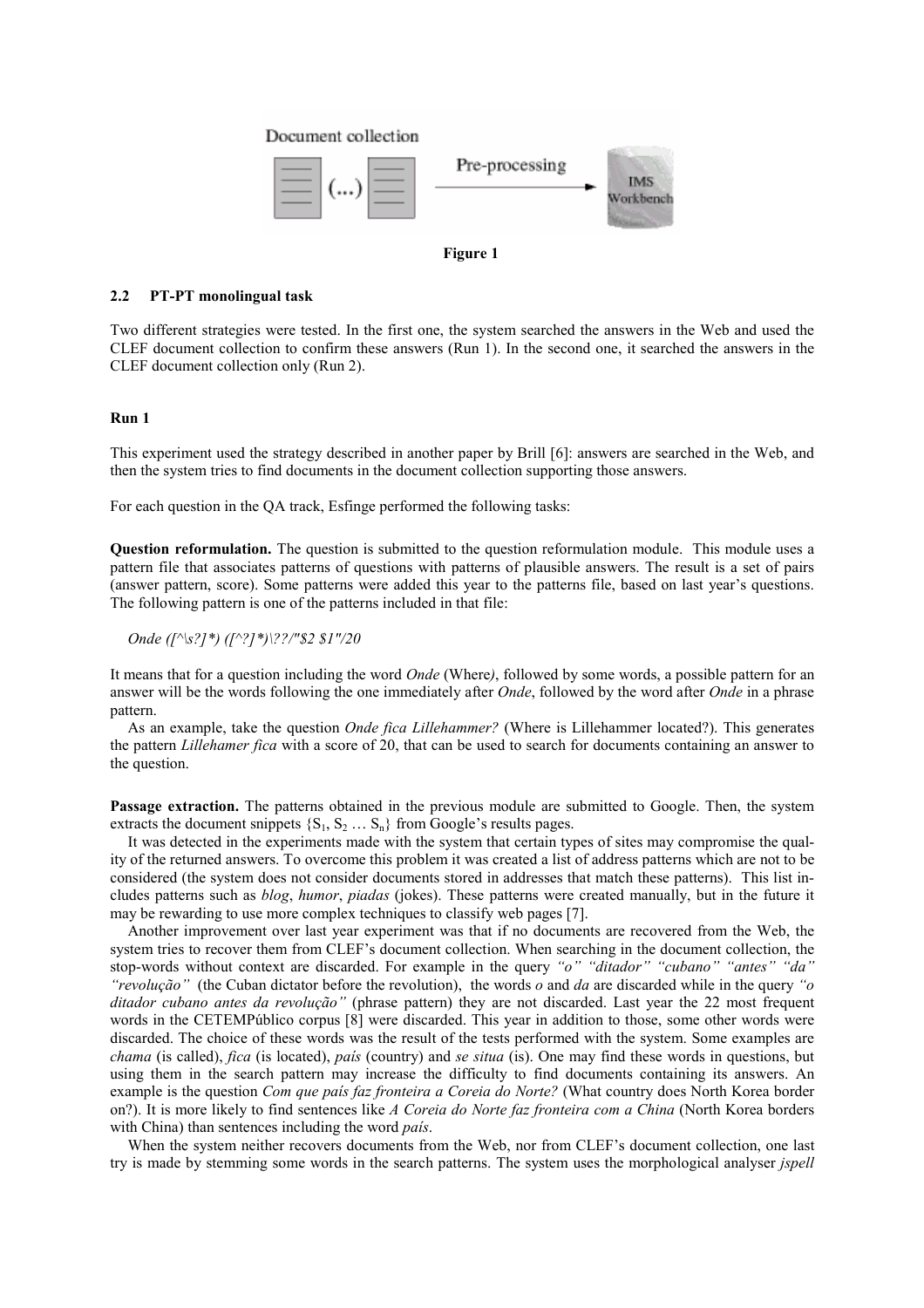



### 2.2 PT-PT monolingual task

Two different strategies were tested. In the first one, the system searched the answers in the Web and used the CLEF document collection to confirm these answers (Run 1). In the second one, it searched the answers in the CLEF document collection only (Run 2).

### Run 1

This experiment used the strategy described in another paper by Brill [6]: answers are searched in the Web, and then the system tries to find documents in the document collection supporting those answers.

For each question in the QA track, Esfinge performed the following tasks:

Question reformulation. The question is submitted to the question reformulation module. This module uses a pattern file that associates patterns of questions with patterns of plausible answers. The result is a set of pairs (answer pattern, score). Some patterns were added this year to the patterns file, based on last year's questions. The following pattern is one of the patterns included in that file:

Onde ([^\s?]\*) ([^?]\*)\??/"\$2 \$1"/20

It means that for a question including the word *Onde* (Where), followed by some words, a possible pattern for an answer will be the words following the one immediately after *Onde*, followed by the word after *Onde* in a phrase pattern.

As an example, take the question *Onde fica Lillehammer*? (Where is Lillehammer located?). This generates the pattern *Lillehamer fica* with a score of 20, that can be used to search for documents containing an answer to the question.

Passage extraction. The patterns obtained in the previous module are submitted to Google. Then, the system extracts the document snippets  $\{S_1, S_2, \ldots, S_n\}$  from Google's results pages.

It was detected in the experiments made with the system that certain types of sites may compromise the quality of the returned answers. To overcome this problem it was created a list of address patterns which are not to be considered (the system does not consider documents stored in addresses that match these patterns). This list includes patterns such as blog, humor, piadas (jokes). These patterns were created manually, but in the future it may be rewarding to use more complex techniques to classify web pages [7].

Another improvement over last year experiment was that if no documents are recovered from the Web, the system tries to recover them from CLEF's document collection. When searching in the document collection, the stop-words without context are discarded. For example in the query "o" "ditador" "cubano" "antes" "da" "revolução" (the Cuban dictator before the revolution), the words o and da are discarded while in the query "o ditador cubano antes da revolução" (phrase pattern) they are not discarded. Last year the 22 most frequent words in the CETEMPúblico corpus [8] were discarded. This year in addition to those, some other words were discarded. The choice of these words was the result of the tests performed with the system. Some examples are chama (is called), fica (is located), país (country) and se situa (is). One may find these words in questions, but using them in the search pattern may increase the difficulty to find documents containing its answers. An example is the question Com que país faz fronteira a Coreia do Norte? (What country does North Korea border on?). It is more likely to find sentences like A Coreia do Norte faz fronteira com a China (North Korea borders with China) than sentences including the word *país*.

When the system neither recovers documents from the Web, nor from CLEF's document collection, one last try is made by stemming some words in the search patterns. The system uses the morphological analyser *jspell*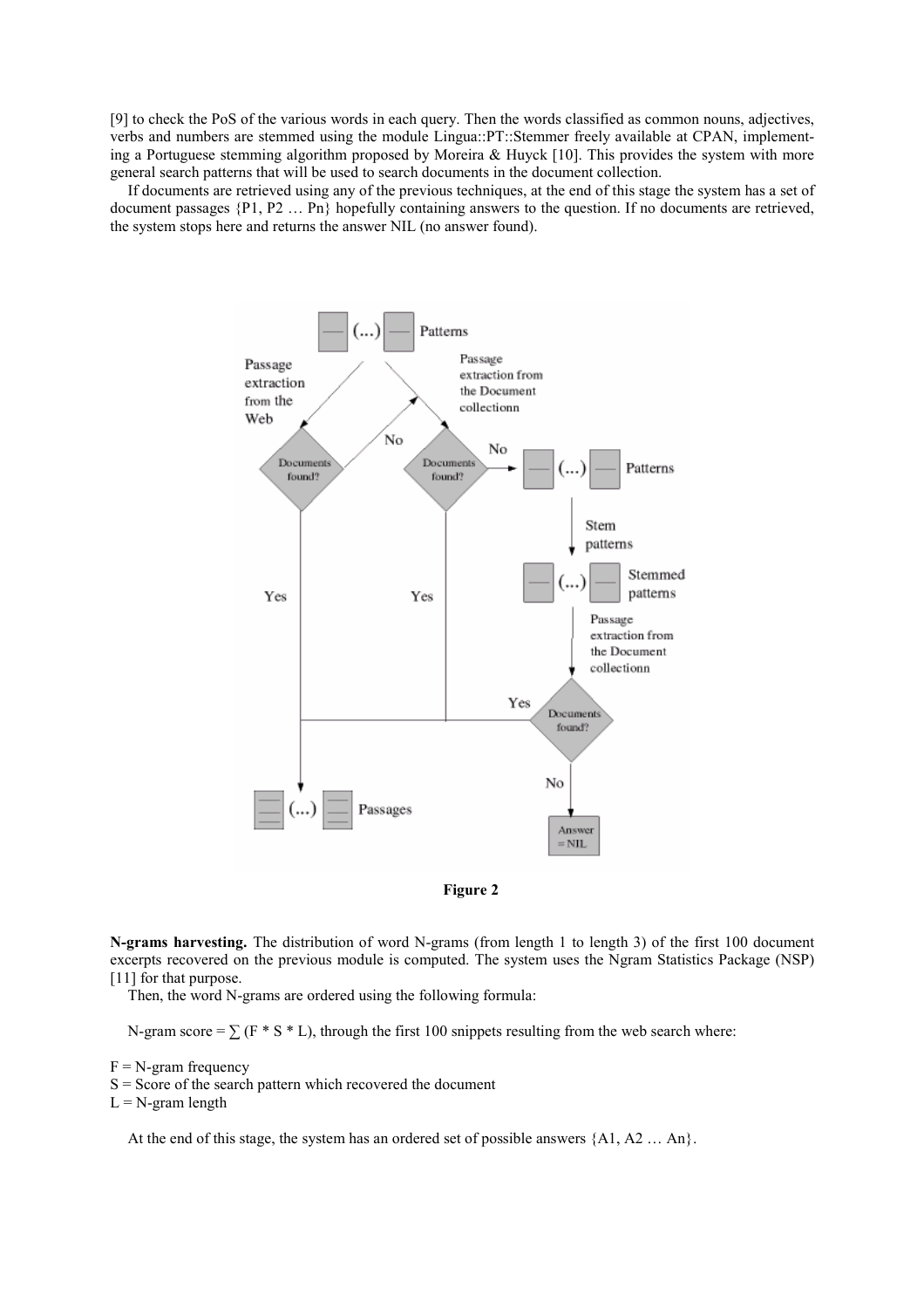[9] to check the PoS of the various words in each query. Then the words classified as common nouns, adjectives, verbs and numbers are stemmed using the module Lingua::PT::Stemmer freely available at CPAN, implementing a Portuguese stemming algorithm proposed by Moreira & Huyck [10]. This provides the system with more general search patterns that will be used to search documents in the document collection.

If documents are retrieved using any of the previous techniques, at the end of this stage the system has a set of document passages {P1, P2 … Pn} hopefully containing answers to the question. If no documents are retrieved, the system stops here and returns the answer NIL (no answer found).





N-grams harvesting. The distribution of word N-grams (from length 1 to length 3) of the first 100 document excerpts recovered on the previous module is computed. The system uses the Ngram Statistics Package (NSP) [11] for that purpose.

Then, the word N-grams are ordered using the following formula:

N-gram score =  $\sum$  (F  $*$  S  $*$  L), through the first 100 snippets resulting from the web search where:

 $F = N$ -gram frequency

 $S =$  Score of the search pattern which recovered the document

 $L = N$ -gram length

At the end of this stage, the system has an ordered set of possible answers {A1, A2 … An}.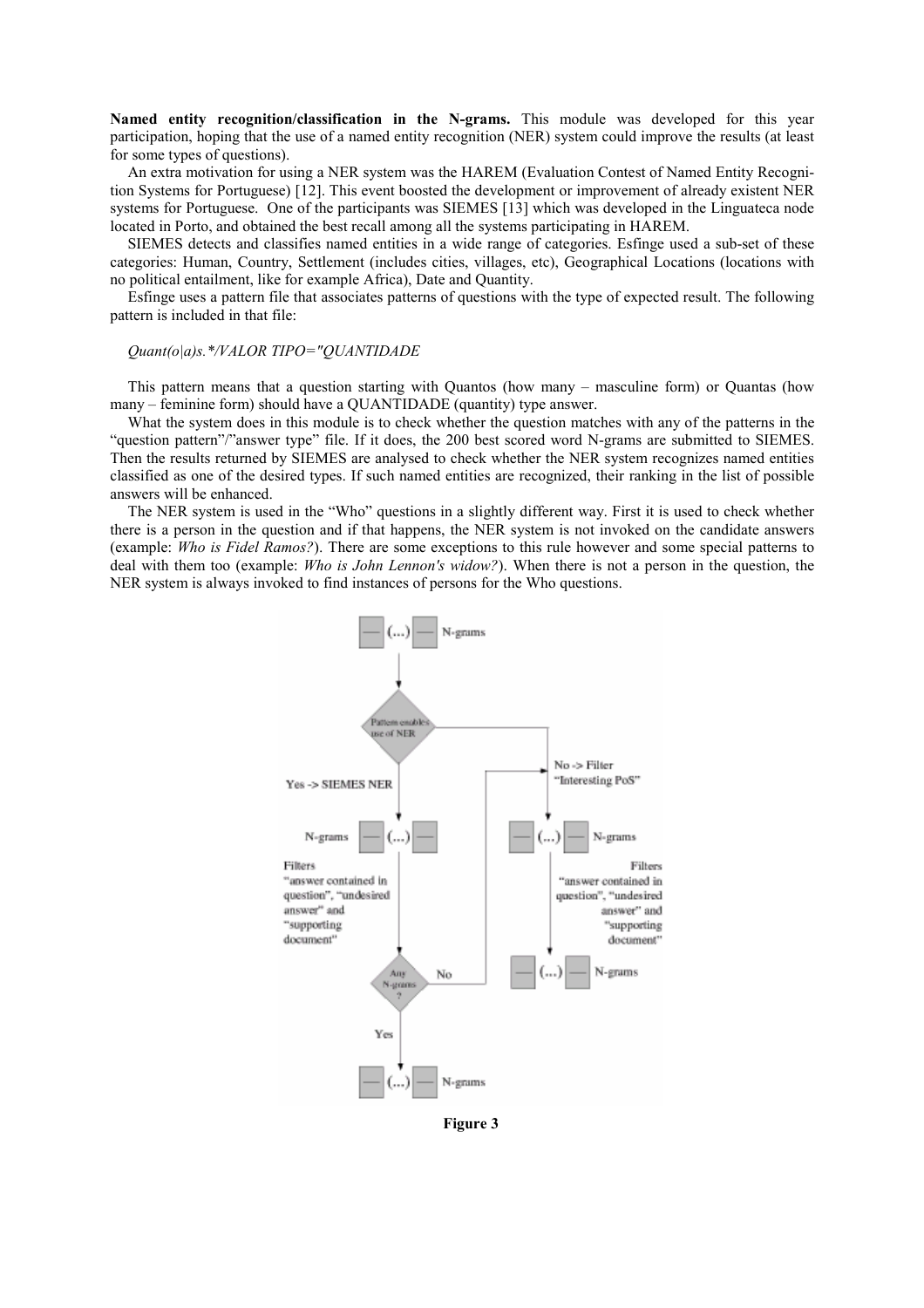Named entity recognition/classification in the N-grams. This module was developed for this year participation, hoping that the use of a named entity recognition (NER) system could improve the results (at least for some types of questions).

An extra motivation for using a NER system was the HAREM (Evaluation Contest of Named Entity Recognition Systems for Portuguese) [12]. This event boosted the development or improvement of already existent NER systems for Portuguese. One of the participants was SIEMES [13] which was developed in the Linguateca node located in Porto, and obtained the best recall among all the systems participating in HAREM.

SIEMES detects and classifies named entities in a wide range of categories. Esfinge used a sub-set of these categories: Human, Country, Settlement (includes cities, villages, etc), Geographical Locations (locations with no political entailment, like for example Africa), Date and Quantity.

Esfinge uses a pattern file that associates patterns of questions with the type of expected result. The following pattern is included in that file:

### Quant(o|a)s.\*/VALOR TIPO="QUANTIDADE

This pattern means that a question starting with Quantos (how many – masculine form) or Quantas (how many – feminine form) should have a QUANTIDADE (quantity) type answer.

What the system does in this module is to check whether the question matches with any of the patterns in the "question pattern"/"answer type" file. If it does, the 200 best scored word N-grams are submitted to SIEMES. Then the results returned by SIEMES are analysed to check whether the NER system recognizes named entities classified as one of the desired types. If such named entities are recognized, their ranking in the list of possible answers will be enhanced.

The NER system is used in the "Who" questions in a slightly different way. First it is used to check whether there is a person in the question and if that happens, the NER system is not invoked on the candidate answers (example: Who is Fidel Ramos?). There are some exceptions to this rule however and some special patterns to deal with them too (example: Who is John Lennon's widow?). When there is not a person in the question, the NER system is always invoked to find instances of persons for the Who questions.



Figure 3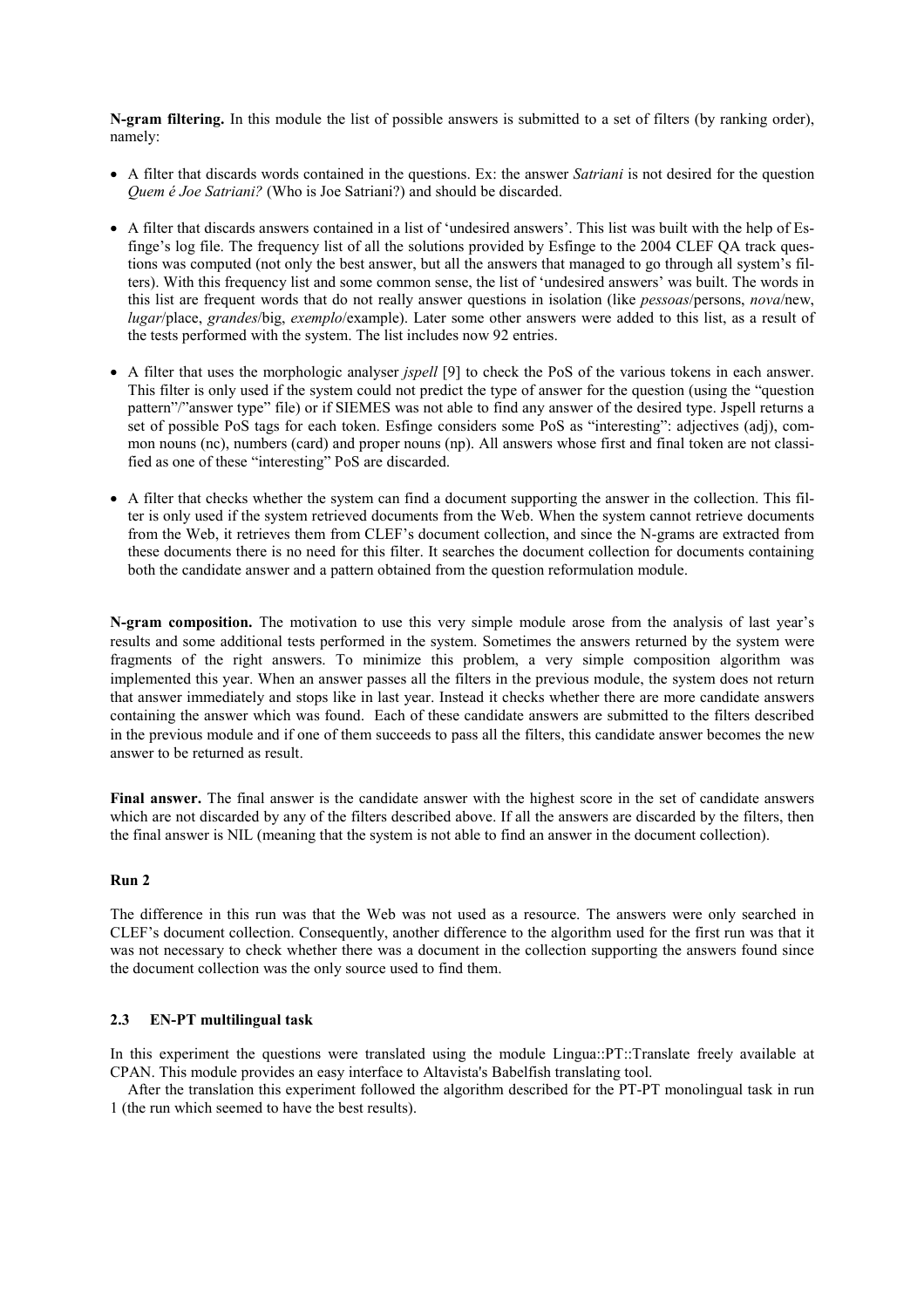N-gram filtering. In this module the list of possible answers is submitted to a set of filters (by ranking order), namely:

- A filter that discards words contained in the questions. Ex: the answer *Satriani* is not desired for the question Quem é Joe Satriani? (Who is Joe Satriani?) and should be discarded.
- A filter that discards answers contained in a list of 'undesired answers'. This list was built with the help of Esfinge's log file. The frequency list of all the solutions provided by Esfinge to the 2004 CLEF QA track questions was computed (not only the best answer, but all the answers that managed to go through all system's filters). With this frequency list and some common sense, the list of 'undesired answers' was built. The words in this list are frequent words that do not really answer questions in isolation (like pessoas/persons, nova/new, lugar/place, grandes/big, exemplo/example). Later some other answers were added to this list, as a result of the tests performed with the system. The list includes now 92 entries.
- A filter that uses the morphologic analyser *jspell* [9] to check the PoS of the various tokens in each answer. This filter is only used if the system could not predict the type of answer for the question (using the "question pattern"/"answer type" file) or if SIEMES was not able to find any answer of the desired type. Jspell returns a set of possible PoS tags for each token. Esfinge considers some PoS as "interesting": adjectives (adj), common nouns (nc), numbers (card) and proper nouns (np). All answers whose first and final token are not classified as one of these "interesting" PoS are discarded.
- A filter that checks whether the system can find a document supporting the answer in the collection. This filter is only used if the system retrieved documents from the Web. When the system cannot retrieve documents from the Web, it retrieves them from CLEF's document collection, and since the N-grams are extracted from these documents there is no need for this filter. It searches the document collection for documents containing both the candidate answer and a pattern obtained from the question reformulation module.

N-gram composition. The motivation to use this very simple module arose from the analysis of last year's results and some additional tests performed in the system. Sometimes the answers returned by the system were fragments of the right answers. To minimize this problem, a very simple composition algorithm was implemented this year. When an answer passes all the filters in the previous module, the system does not return that answer immediately and stops like in last year. Instead it checks whether there are more candidate answers containing the answer which was found. Each of these candidate answers are submitted to the filters described in the previous module and if one of them succeeds to pass all the filters, this candidate answer becomes the new answer to be returned as result.

Final answer. The final answer is the candidate answer with the highest score in the set of candidate answers which are not discarded by any of the filters described above. If all the answers are discarded by the filters, then the final answer is NIL (meaning that the system is not able to find an answer in the document collection).

### Run 2

The difference in this run was that the Web was not used as a resource. The answers were only searched in CLEF's document collection. Consequently, another difference to the algorithm used for the first run was that it was not necessary to check whether there was a document in the collection supporting the answers found since the document collection was the only source used to find them.

### 2.3 EN-PT multilingual task

In this experiment the questions were translated using the module Lingua::PT::Translate freely available at CPAN. This module provides an easy interface to Altavista's Babelfish translating tool.

After the translation this experiment followed the algorithm described for the PT-PT monolingual task in run 1 (the run which seemed to have the best results).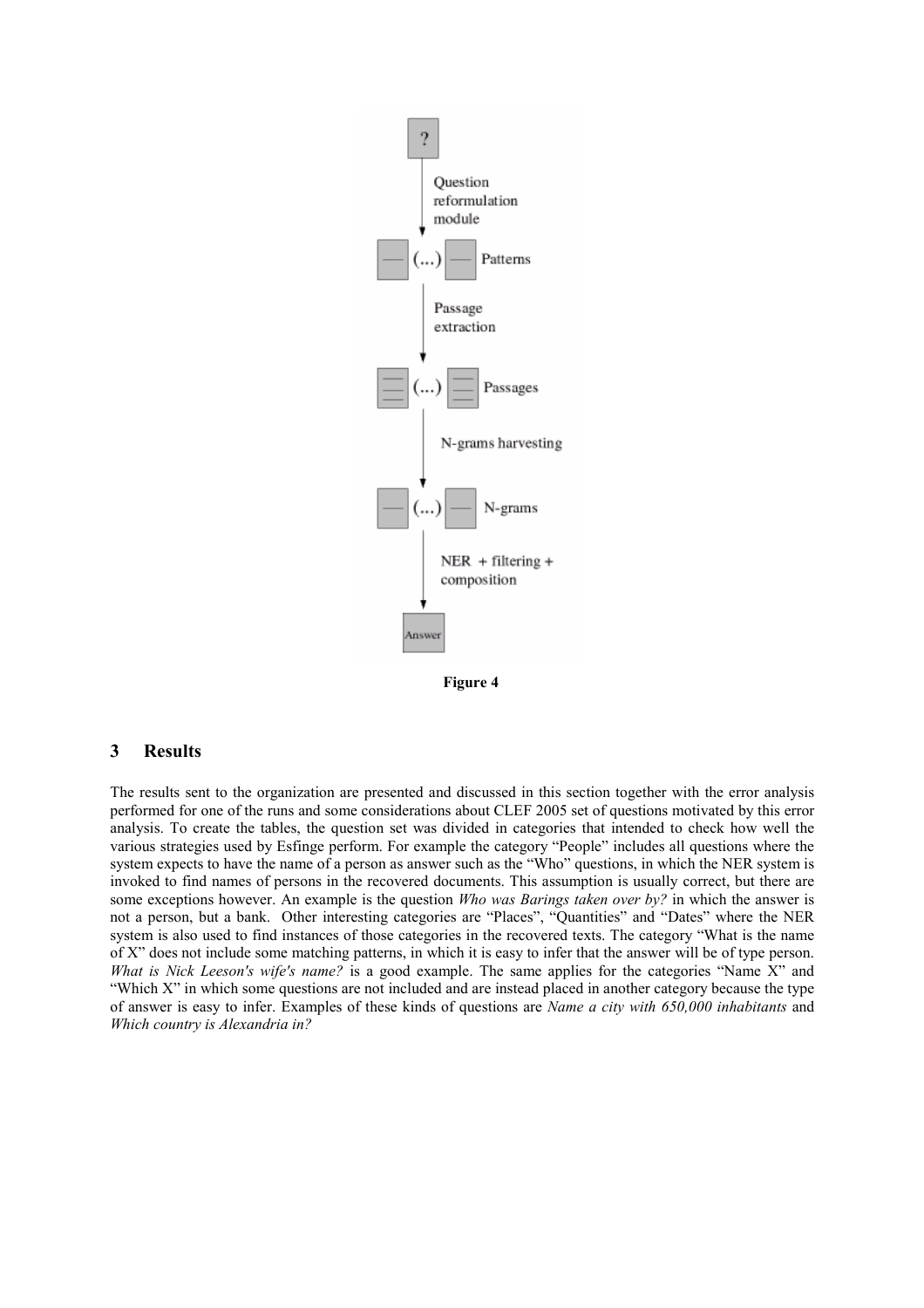

Figure 4

# 3 Results

The results sent to the organization are presented and discussed in this section together with the error analysis performed for one of the runs and some considerations about CLEF 2005 set of questions motivated by this error analysis. To create the tables, the question set was divided in categories that intended to check how well the various strategies used by Esfinge perform. For example the category "People" includes all questions where the system expects to have the name of a person as answer such as the "Who" questions, in which the NER system is invoked to find names of persons in the recovered documents. This assumption is usually correct, but there are some exceptions however. An example is the question Who was Barings taken over by? in which the answer is not a person, but a bank. Other interesting categories are "Places", "Quantities" and "Dates" where the NER system is also used to find instances of those categories in the recovered texts. The category "What is the name of X" does not include some matching patterns, in which it is easy to infer that the answer will be of type person. What is Nick Leeson's wife's name? is a good example. The same applies for the categories "Name X" and "Which X" in which some questions are not included and are instead placed in another category because the type of answer is easy to infer. Examples of these kinds of questions are Name a city with 650,000 inhabitants and Which country is Alexandria in?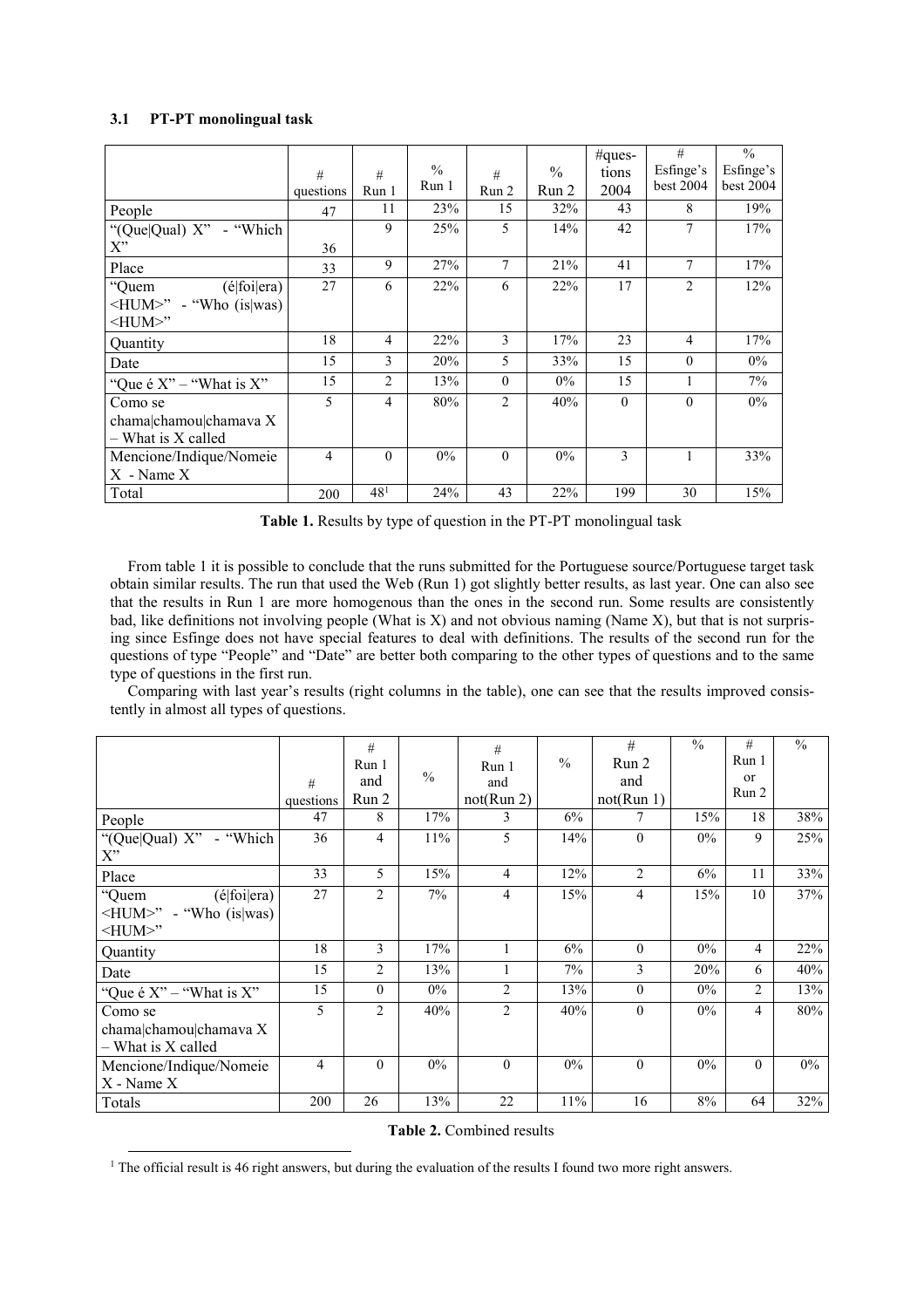### 3.1 PT-PT monolingual task

-

|                                         | #<br>questions | #<br>Run 1      | $\frac{0}{0}$<br>Run 1 | #<br>Run 2     | $\%$<br>Run 2 | #ques-<br>tions<br>2004 | #<br>Esfinge's<br>best 2004 | $\frac{0}{0}$<br>Esfinge's<br>best 2004 |
|-----------------------------------------|----------------|-----------------|------------------------|----------------|---------------|-------------------------|-----------------------------|-----------------------------------------|
| People                                  | 47             | 11              | 23%                    | 15             | 32%           | 43                      | 8                           | 19%                                     |
| "(Que Qual) $X$ " - "Which"             |                | 9               | 25%                    | 5              | 14%           | 42                      | 7                           | 17%                                     |
| $X$ "                                   | 36             |                 |                        |                |               |                         |                             |                                         |
| Place                                   | 33             | 9               | 27%                    | 7              | 21%           | 41                      | 7                           | 17%                                     |
| "Quem<br>(élfoi era)                    | 27             | 6               | 22%                    | 6              | 22%           | 17                      | $\overline{2}$              | 12%                                     |
| $\langle HUM \rangle$ " - "Who (is was) |                |                 |                        |                |               |                         |                             |                                         |
| $\leq$ HUM $>$ "                        |                |                 |                        |                |               |                         |                             |                                         |
| Quantity                                | 18             | 4               | 22%                    | 3              | 17%           | 23                      | $\overline{4}$              | 17%                                     |
| Date                                    | 15             | 3               | 20%                    | 5              | 33%           | 15                      | $\theta$                    | $0\%$                                   |
| "Que é $X$ " – "What is $X$ "           | 15             | $\overline{c}$  | 13%                    | $\theta$       | $0\%$         | 15                      | 1                           | $7\%$                                   |
| Como se                                 | 5              | 4               | 80%                    | $\overline{2}$ | 40%           | $\Omega$                | $\theta$                    | $0\%$                                   |
| chama chamou chamava X                  |                |                 |                        |                |               |                         |                             |                                         |
| - What is X called                      |                |                 |                        |                |               |                         |                             |                                         |
| Mencione/Indique/Nomeie                 | $\overline{4}$ | $\Omega$        | $0\%$                  | $\theta$       | $0\%$         | 3                       |                             | 33%                                     |
| $X$ - Name $X$                          |                |                 |                        |                |               |                         |                             |                                         |
| Total                                   | 200            | 48 <sup>1</sup> | 24%                    | 43             | 22%           | 199                     | 30                          | 15%                                     |

Table 1. Results by type of question in the PT-PT monolingual task

From table 1 it is possible to conclude that the runs submitted for the Portuguese source/Portuguese target task obtain similar results. The run that used the Web (Run 1) got slightly better results, as last year. One can also see that the results in Run 1 are more homogenous than the ones in the second run. Some results are consistently bad, like definitions not involving people (What is X) and not obvious naming (Name X), but that is not surprising since Esfinge does not have special features to deal with definitions. The results of the second run for the questions of type "People" and "Date" are better both comparing to the other types of questions and to the same type of questions in the first run.

Comparing with last year's results (right columns in the table), one can see that the results improved consistently in almost all types of questions.

|                                                                                 | #         | #<br>Run 1<br>and | $\frac{0}{0}$ | #<br>Run 1<br>and | $\frac{0}{0}$ | #<br>Run 2<br>and | $\frac{0}{0}$ | #<br>Run 1<br><sub>or</sub><br>Run 2 | $\frac{0}{0}$ |
|---------------------------------------------------------------------------------|-----------|-------------------|---------------|-------------------|---------------|-------------------|---------------|--------------------------------------|---------------|
|                                                                                 | questions | Run 2             |               | not(Run 2)        |               | not(Run 1)        |               |                                      |               |
| People                                                                          | 47        | 8                 | 17%           | 3                 | 6%            | 7                 | 15%           | 18                                   | 38%           |
| "(Que Qual) X" - "Which<br>X"                                                   | 36        | 4                 | $11\%$        | 5                 | 14%           | $\theta$          | $0\%$         | 9                                    | 25%           |
| Place                                                                           | 33        | 5                 | 15%           | 4                 | 12%           | $\overline{2}$    | 6%            | 11                                   | 33%           |
| "Quem<br>(élfoi era)<br>$\langle HUM \rangle$ " - "Who (is was)<br><hum>"</hum> | 27        | $\overline{2}$    | 7%            | 4                 | 15%           | $\overline{4}$    | 15%           | 10                                   | 37%           |
| Quantity                                                                        | 18        | 3                 | 17%           |                   | 6%            | $\Omega$          | $0\%$         | 4                                    | 22%           |
| Date                                                                            | 15        | $\overline{c}$    | 13%           |                   | 7%            | 3                 | 20%           | 6                                    | 40%           |
| "Que é $X$ " – "What is $X$ "                                                   | 15        | $\Omega$          | $0\%$         | 2                 | 13%           | $\theta$          | $0\%$         | $\overline{2}$                       | 13%           |
| Como se<br>chama chamou chamava X<br>- What is X called                         | 5         | $\overline{2}$    | 40%           | 2                 | 40%           | $\theta$          | $0\%$         | $\overline{4}$                       | 80%           |
| Mencione/Indique/Nomeie<br>X - Name X                                           | 4         | $\Omega$          | $0\%$         | $\theta$          | $0\%$         | $\theta$          | $0\%$         | $\theta$                             | $0\%$         |
| Totals                                                                          | 200       | 26                | 13%           | 22                | 11%           | 16                | $8\%$         | 64                                   | 32%           |

| <b>Table 2.</b> Combined results |
|----------------------------------|
|                                  |

<sup>&</sup>lt;sup>1</sup> The official result is 46 right answers, but during the evaluation of the results I found two more right answers.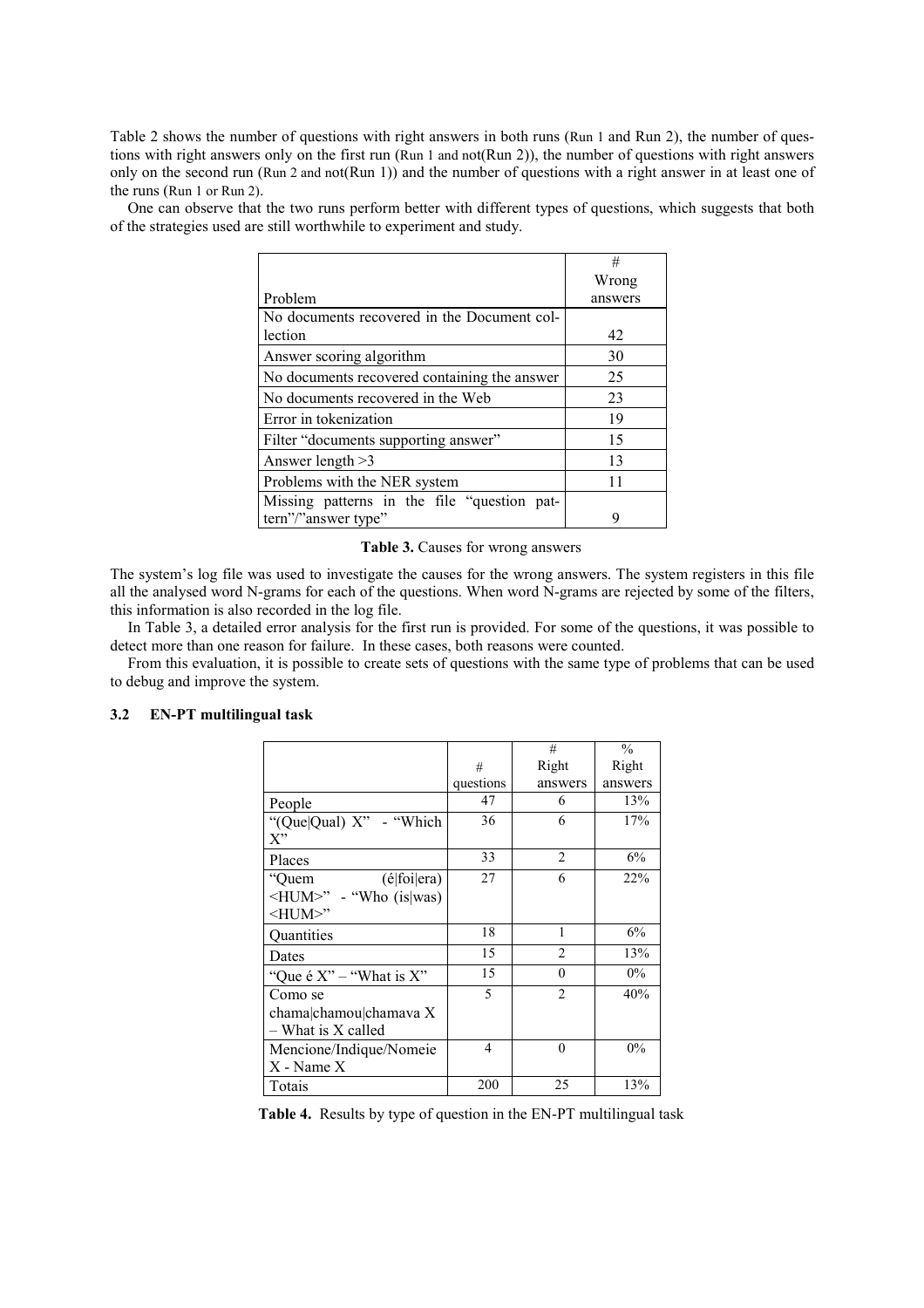Table 2 shows the number of questions with right answers in both runs (Run 1 and Run 2), the number of questions with right answers only on the first run (Run 1 and not(Run 2)), the number of questions with right answers only on the second run (Run 2 and not(Run 1)) and the number of questions with a right answer in at least one of the runs (Run 1 or Run 2).

One can observe that the two runs perform better with different types of questions, which suggests that both of the strategies used are still worthwhile to experiment and study.

|                                              | #       |
|----------------------------------------------|---------|
|                                              | Wrong   |
| Problem                                      | answers |
| No documents recovered in the Document col-  |         |
| lection                                      | 42      |
| Answer scoring algorithm                     | 30      |
| No documents recovered containing the answer | 25      |
| No documents recovered in the Web            | 23      |
| Error in tokenization                        | 19      |
| Filter "documents supporting answer"         | 15      |
| Answer length $>3$                           | 13      |
| Problems with the NER system                 | 11      |
| Missing patterns in the file "question pat-  |         |
| tern"/"answer type"                          | 9       |

Table 3. Causes for wrong answers

The system's log file was used to investigate the causes for the wrong answers. The system registers in this file all the analysed word N-grams for each of the questions. When word N-grams are rejected by some of the filters, this information is also recorded in the log file.

In Table 3, a detailed error analysis for the first run is provided. For some of the questions, it was possible to detect more than one reason for failure. In these cases, both reasons were counted.

From this evaluation, it is possible to create sets of questions with the same type of problems that can be used to debug and improve the system.

### 3.2 EN-PT multilingual task

|                                                         |           | #              | $\frac{0}{0}$ |
|---------------------------------------------------------|-----------|----------------|---------------|
|                                                         | #         | Right          | Right         |
|                                                         | questions | answers        | answers       |
| People                                                  | 47        | 6              | 13%           |
| "(Que Qual) X" - "Which<br>X''                          | 36        | 6              | 17%           |
| Places                                                  | 33        | $\overline{2}$ | 6%            |
| (élfoi era)<br>"Quem                                    | 27        | 6              | 22%           |
| <hum>" - "Who (is was)<br/><math>-HUM&gt;</math>"</hum> |           |                |               |
| <b>Quantities</b>                                       | 18        | 1              | 6%            |
| Dates                                                   | 15        | $\overline{2}$ | 13%           |
| "Que é $X$ " – "What is $X$ "                           | 15        | $\theta$       | $0\%$         |
| Como se                                                 | 5         | $\mathfrak{D}$ | 40%           |
| chama chamou chamava X<br>- What is X called            |           |                |               |
| Mencione/Indique/Nomeie                                 | 4         | $\Omega$       | 0%            |
| $X$ - Name $X$                                          |           |                |               |
| Totais                                                  | 200       | 25             | 13%           |

Table 4. Results by type of question in the EN-PT multilingual task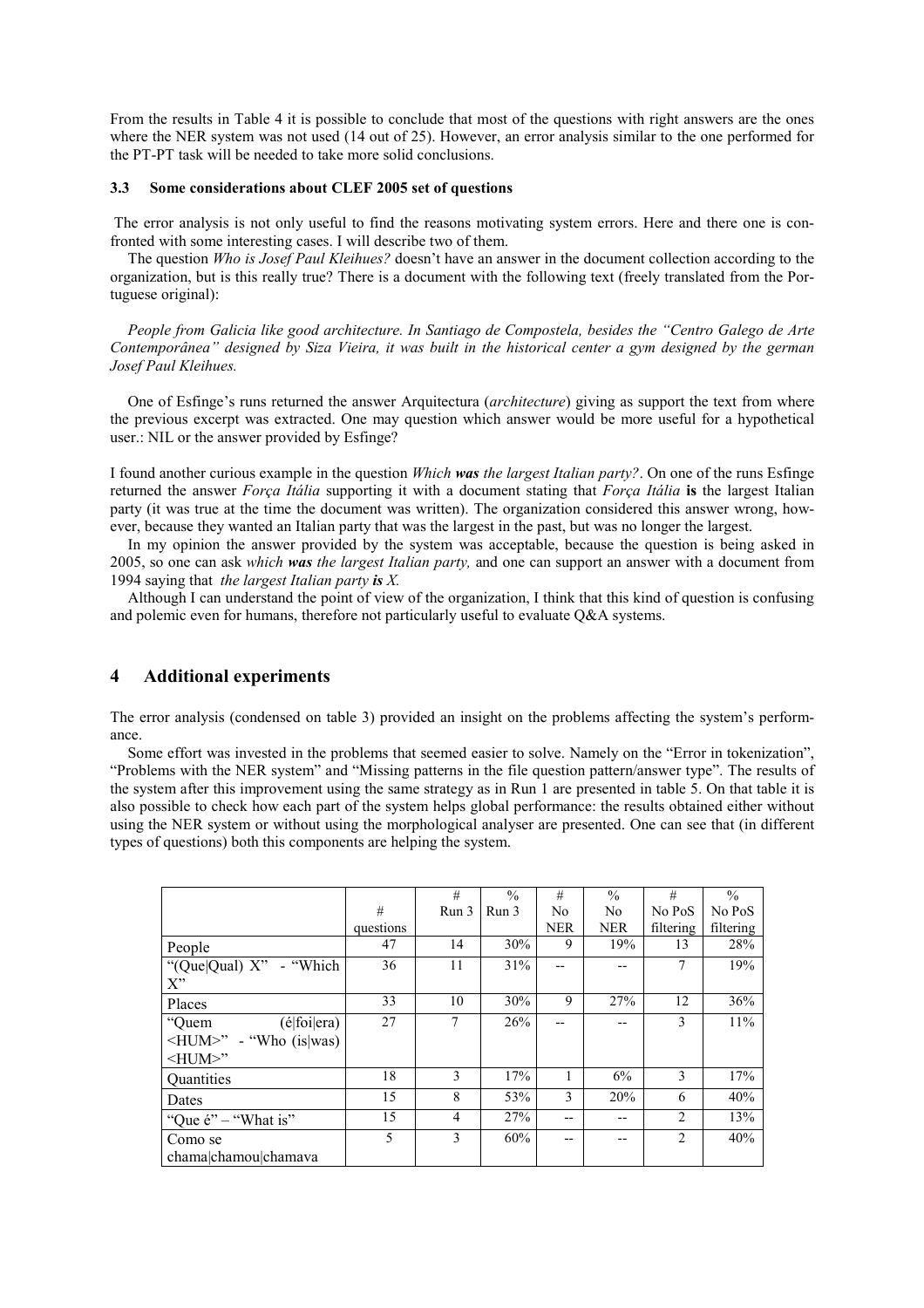From the results in Table 4 it is possible to conclude that most of the questions with right answers are the ones where the NER system was not used (14 out of 25). However, an error analysis similar to the one performed for the PT-PT task will be needed to take more solid conclusions.

#### 3.3 Some considerations about CLEF 2005 set of questions

 The error analysis is not only useful to find the reasons motivating system errors. Here and there one is confronted with some interesting cases. I will describe two of them.

The question Who is Josef Paul Kleihues? doesn't have an answer in the document collection according to the organization, but is this really true? There is a document with the following text (freely translated from the Portuguese original):

People from Galicia like good architecture. In Santiago de Compostela, besides the "Centro Galego de Arte Contemporânea" designed by Siza Vieira, it was built in the historical center a gym designed by the german Josef Paul Kleihues.

One of Esfinge's runs returned the answer Arquitectura (architecture) giving as support the text from where the previous excerpt was extracted. One may question which answer would be more useful for a hypothetical user.: NIL or the answer provided by Esfinge?

I found another curious example in the question Which was the largest Italian party?. On one of the runs Esfinge returned the answer Força Itália supporting it with a document stating that Força Itália is the largest Italian party (it was true at the time the document was written). The organization considered this answer wrong, however, because they wanted an Italian party that was the largest in the past, but was no longer the largest.

In my opinion the answer provided by the system was acceptable, because the question is being asked in 2005, so one can ask which was the largest Italian party, and one can support an answer with a document from 1994 saying that *the largest Italian party is X*.

Although I can understand the point of view of the organization, I think that this kind of question is confusing and polemic even for humans, therefore not particularly useful to evaluate  $Q&A$  systems.

# 4 Additional experiments

The error analysis (condensed on table 3) provided an insight on the problems affecting the system's performance.

Some effort was invested in the problems that seemed easier to solve. Namely on the "Error in tokenization", "Problems with the NER system" and "Missing patterns in the file question pattern/answer type". The results of the system after this improvement using the same strategy as in Run 1 are presented in table 5. On that table it is also possible to check how each part of the system helps global performance: the results obtained either without using the NER system or without using the morphological analyser are presented. One can see that (in different types of questions) both this components are helping the system.

|                                     |           | #              | $\frac{0}{0}$ | #          | $\frac{0}{0}$ | #              | $\frac{0}{0}$ |
|-------------------------------------|-----------|----------------|---------------|------------|---------------|----------------|---------------|
|                                     | #         | Run 3          | Run 3         | No         | No            | No PoS         | No PoS        |
|                                     | questions |                |               | <b>NER</b> | <b>NER</b>    | filtering      | filtering     |
| People                              | 47        | 14             | 30%           | 9          | 19%           | 13             | 28%           |
| "(Que Qual) X" - "Which"            | 36        | 11             | 31%           | --         |               | 7              | 19%           |
| $X^"$                               |           |                |               |            |               |                |               |
| Places                              | 33        | 10             | 30%           | 9          | 27%           | 12             | 36%           |
| (élfoi era)<br>"Quem                | 27        | 7              | 26%           | --         | --            | 3              | 11%           |
| $\leq$ HUM $\geq$ " - "Who (is was) |           |                |               |            |               |                |               |
| $-HUM>$ "                           |           |                |               |            |               |                |               |
| Quantities                          | 18        | $\mathcal{E}$  | 17%           |            | 6%            | 3              | 17%           |
| Dates                               | 15        | 8              | 53%           | 3          | 20%           | 6              | 40%           |
| "Que $\acute{e}$ " – "What is"      | 15        | $\overline{4}$ | 27%           | $-$        | --            | $\overline{c}$ | 13%           |
| Como se                             | 5         | 3              | 60%           | --         | --            | 2              | 40%           |
| chama chamou chamava                |           |                |               |            |               |                |               |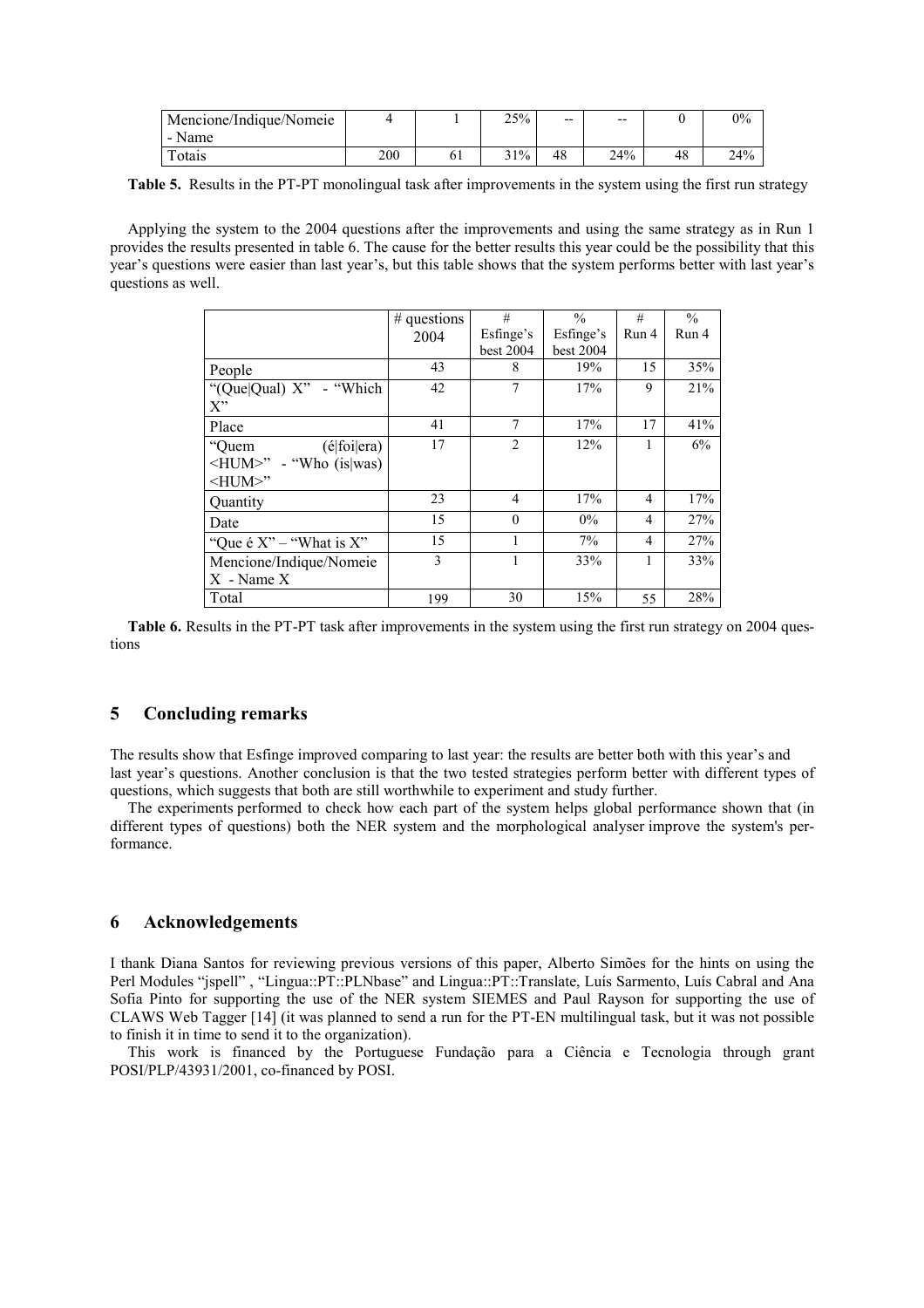| Mencione/Indique/Nomeie |     | 25% | $- -$ | $- -$ |    | $0\%$           |
|-------------------------|-----|-----|-------|-------|----|-----------------|
| - Name                  |     |     |       |       |    |                 |
| Totais                  | 200 | 31% | 48    | 24%   | 48 | 24 <sup>%</sup> |

Table 5. Results in the PT-PT monolingual task after improvements in the system using the first run strategy

Applying the system to the 2004 questions after the improvements and using the same strategy as in Run 1 provides the results presented in table 6. The cause for the better results this year could be the possibility that this year's questions were easier than last year's, but this table shows that the system performs better with last year's questions as well.

|                                     | $#$ questions | #              | $\frac{0}{0}$ | #              | $\frac{0}{0}$ |
|-------------------------------------|---------------|----------------|---------------|----------------|---------------|
|                                     | 2004          | Esfinge's      | Esfinge's     | Run 4          | Run 4         |
|                                     |               | best 2004      | best 2004     |                |               |
| People                              | 43            | 8              | 19%           | 15             | 35%           |
| "(Que Qual) X" - "Which"            | 42            |                | 17%           | 9              | 21%           |
| X''                                 |               |                |               |                |               |
| Place                               | 41            | 7              | 17%           | 17             | 41%           |
| (é foi era)<br>"Quem                | 17            | $\overline{2}$ | 12%           |                | 6%            |
| $\leq$ HUM $\geq$ " - "Who (is was) |               |                |               |                |               |
| $-HUM>$ "                           |               |                |               |                |               |
| Quantity                            | 23            | 4              | 17%           | $\overline{4}$ | 17%           |
| Date                                | 15            | $\theta$       | $0\%$         | $\overline{4}$ | 27%           |
| "Que é $X$ " – "What is $X$ "       | 15            |                | 7%            | $\overline{4}$ | 27%           |
| Mencione/Indique/Nomeie             | 3             |                | 33%           |                | 33%           |
| $X$ - Name $X$                      |               |                |               |                |               |
| Total                               | 199           | 30             | 15%           | 55             | 28%           |

Table 6. Results in the PT-PT task after improvements in the system using the first run strategy on 2004 questions

### 5 Concluding remarks

The results show that Esfinge improved comparing to last year: the results are better both with this year's and last year's questions. Another conclusion is that the two tested strategies perform better with different types of questions, which suggests that both are still worthwhile to experiment and study further.

The experiments performed to check how each part of the system helps global performance shown that (in different types of questions) both the NER system and the morphological analyser improve the system's performance.

### 6 Acknowledgements

I thank Diana Santos for reviewing previous versions of this paper, Alberto Simões for the hints on using the Perl Modules "jspell" , "Lingua::PT::PLNbase" and Lingua::PT::Translate, Luís Sarmento, Luís Cabral and Ana Sofia Pinto for supporting the use of the NER system SIEMES and Paul Rayson for supporting the use of CLAWS Web Tagger [14] (it was planned to send a run for the PT-EN multilingual task, but it was not possible to finish it in time to send it to the organization).

This work is financed by the Portuguese Fundação para a Ciência e Tecnologia through grant POSI/PLP/43931/2001, co-financed by POSI.